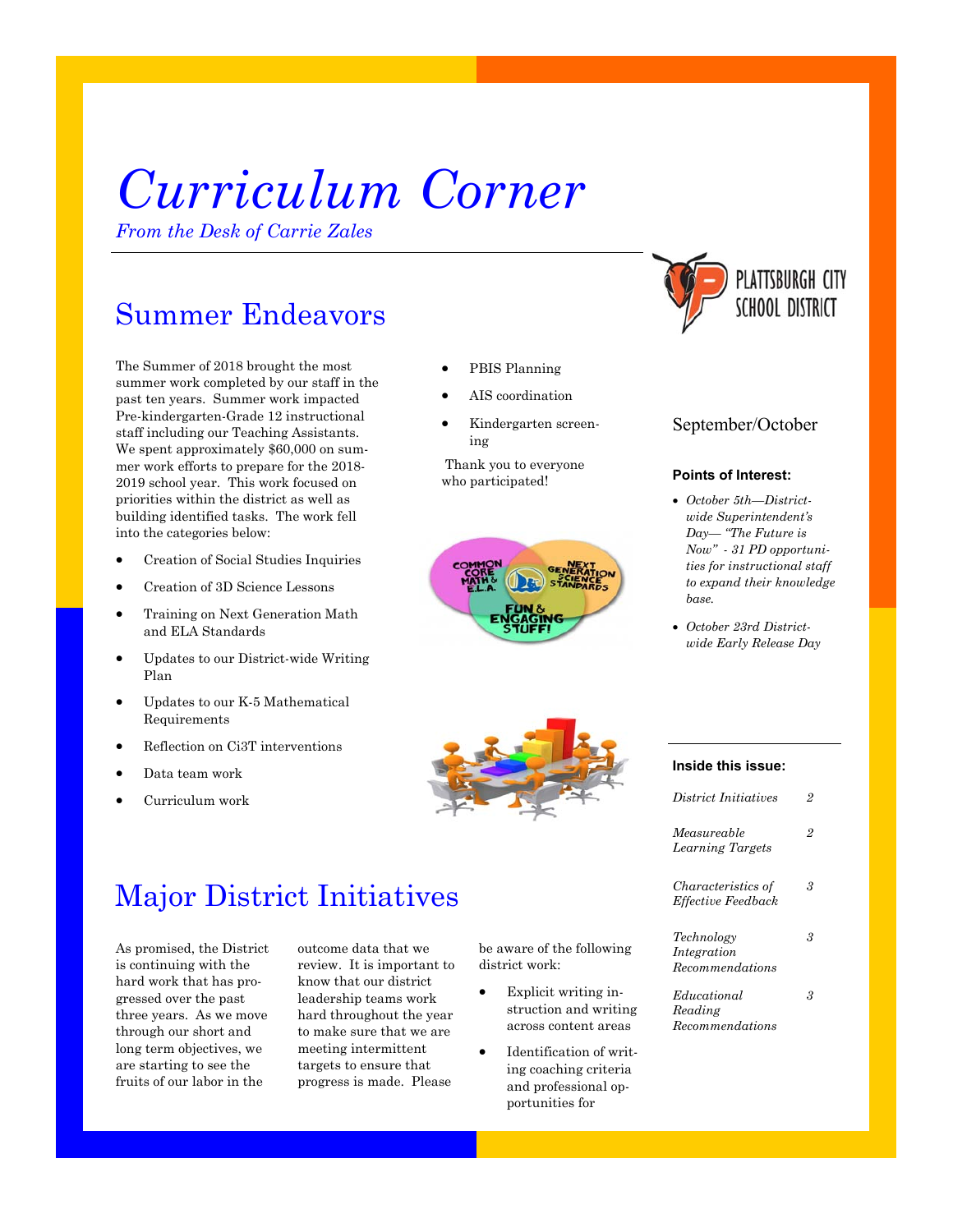# *Curriculum Corner*

*From the Desk of Carrie Zales* 

# Summer Endeavors

The Summer of 2018 brought the most summer work completed by our staff in the past ten years. Summer work impacted Pre-kindergarten-Grade 12 instructional staff including our Teaching Assistants. We spent approximately \$60,000 on summer work efforts to prepare for the 2018- 2019 school year. This work focused on priorities within the district as well as building identified tasks. The work fell into the categories below:

- Creation of Social Studies Inquiries
- Creation of 3D Science Lessons
- Training on Next Generation Math and ELA Standards
- Updates to our District-wide Writing Plan
- Updates to our K-5 Mathematical Requirements
- Reflection on Ci3T interventions
- Data team work
- Curriculum work
- PBIS Planning
- AIS coordination
- Kindergarten screening

 Thank you to everyone who participated!





### September/October

### **Points of Interest:**

- *October 5th—Districtwide Superintendent's Day— "The Future is Now" - 31 PD opportunities for instructional staff to expand their knowledge base.*
- *October 23rd Districtwide Early Release Day*



### **Inside this issue:**

| District Initiatives                                   | 9 |
|--------------------------------------------------------|---|
| Measureable<br>Learning Targets                        | 2 |
| <i>Characteristics of</i><br><b>Effective Feedback</b> | З |
| Technology<br>Integration<br>$\emph{Recommendations}$  | З |
| Educational<br>Reading<br>Recommendations              | 3 |

# Major District Initiatives

As promised, the District is continuing with the hard work that has progressed over the past three years. As we move through our short and long term objectives, we are starting to see the fruits of our labor in the

outcome data that we review. It is important to know that our district leadership teams work hard throughout the year to make sure that we are meeting intermittent targets to ensure that progress is made. Please

be aware of the following district work:

- Explicit writing instruction and writing across content areas
- Identification of writing coaching criteria and professional opportunities for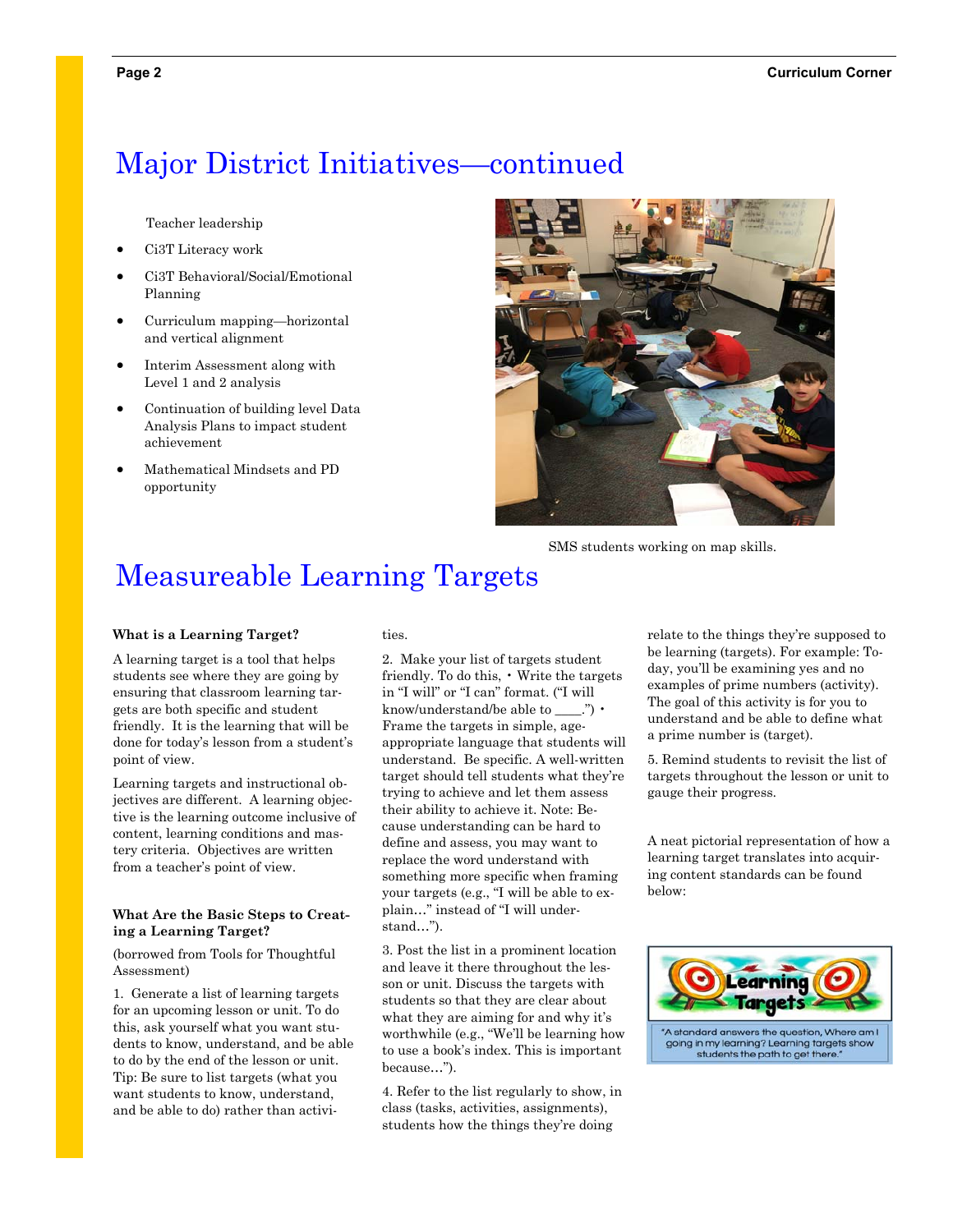## Major District Initiatives—continued

Teacher leadership

- Ci3T Literacy work
- Ci3T Behavioral/Social/Emotional Planning
- Curriculum mapping—horizontal and vertical alignment
- Interim Assessment along with Level 1 and 2 analysis
- Continuation of building level Data Analysis Plans to impact student achievement
- Mathematical Mindsets and PD opportunity



SMS students working on map skills.

# Measureable Learning Targets

#### **What is a Learning Target?**

A learning target is a tool that helps students see where they are going by ensuring that classroom learning targets are both specific and student friendly. It is the learning that will be done for today's lesson from a student's point of view.

Learning targets and instructional objectives are different. A learning objective is the learning outcome inclusive of content, learning conditions and mastery criteria. Objectives are written from a teacher's point of view.

### **What Are the Basic Steps to Creating a Learning Target?**

(borrowed from Tools for Thoughtful Assessment)

1. Generate a list of learning targets for an upcoming lesson or unit. To do this, ask yourself what you want students to know, understand, and be able to do by the end of the lesson or unit. Tip: Be sure to list targets (what you want students to know, understand, and be able to do) rather than activities.

2. Make your list of targets student friendly. To do this, • Write the targets in "I will" or "I can" format. ("I will know/understand/be able to \_\_\_\_.") • Frame the targets in simple, ageappropriate language that students will understand. Be specific. A well-written target should tell students what they're trying to achieve and let them assess their ability to achieve it. Note: Because understanding can be hard to define and assess, you may want to replace the word understand with something more specific when framing your targets (e.g., "I will be able to explain…" instead of "I will understand…").

3. Post the list in a prominent location and leave it there throughout the lesson or unit. Discuss the targets with students so that they are clear about what they are aiming for and why it's worthwhile (e.g., "We'll be learning how to use a book's index. This is important because…").

4. Refer to the list regularly to show, in class (tasks, activities, assignments), students how the things they're doing

relate to the things they're supposed to be learning (targets). For example: Today, you'll be examining yes and no examples of prime numbers (activity). The goal of this activity is for you to understand and be able to define what a prime number is (target).

5. Remind students to revisit the list of targets throughout the lesson or unit to gauge their progress.

A neat pictorial representation of how a learning target translates into acquiring content standards can be found below:



going in my learning? Learning targets show students the path to get there.